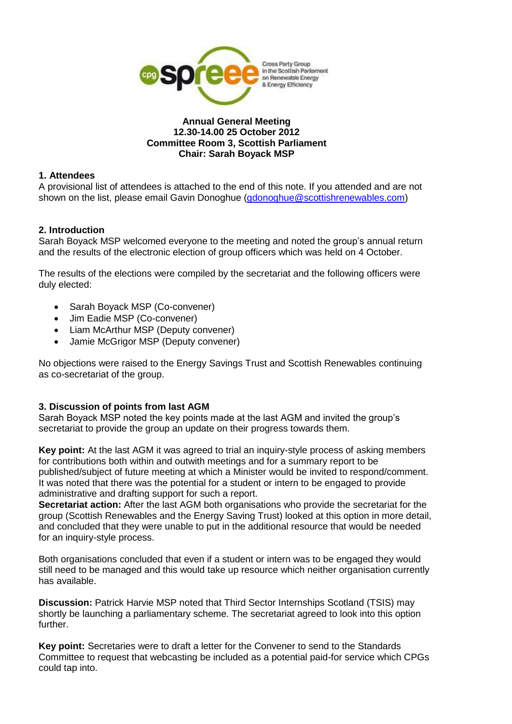

#### **Annual General Meeting 12.30-14.00 25 October 2012 Committee Room 3, Scottish Parliament Chair: Sarah Boyack MSP**

#### **1. Attendees**

A provisional list of attendees is attached to the end of this note. If you attended and are not shown on the list, please email Gavin Donoghue [\(gdonoghue@scottishrenewables.com\)](mailto:gdonoghue@scottishrenewables.com)

#### **2. Introduction**

Sarah Boyack MSP welcomed everyone to the meeting and noted the group's annual return and the results of the electronic election of group officers which was held on 4 October.

The results of the elections were compiled by the secretariat and the following officers were duly elected:

- Sarah Boyack MSP (Co-convener)
- Jim Eadie MSP (Co-convener)
- Liam McArthur MSP (Deputy convener)
- Jamie McGrigor MSP (Deputy convener)

No objections were raised to the Energy Savings Trust and Scottish Renewables continuing as co-secretariat of the group.

#### **3. Discussion of points from last AGM**

Sarah Boyack MSP noted the key points made at the last AGM and invited the group's secretariat to provide the group an update on their progress towards them.

**Key point:** At the last AGM it was agreed to trial an inquiry-style process of asking members for contributions both within and outwith meetings and for a summary report to be published/subject of future meeting at which a Minister would be invited to respond/comment. It was noted that there was the potential for a student or intern to be engaged to provide administrative and drafting support for such a report.

**Secretariat action:** After the last AGM both organisations who provide the secretariat for the group (Scottish Renewables and the Energy Saving Trust) looked at this option in more detail, and concluded that they were unable to put in the additional resource that would be needed for an inquiry-style process.

Both organisations concluded that even if a student or intern was to be engaged they would still need to be managed and this would take up resource which neither organisation currently has available.

**Discussion:** Patrick Harvie MSP noted that Third Sector Internships Scotland (TSIS) may shortly be launching a parliamentary scheme. The secretariat agreed to look into this option further.

**Key point:** Secretaries were to draft a letter for the Convener to send to the Standards Committee to request that webcasting be included as a potential paid-for service which CPGs could tap into.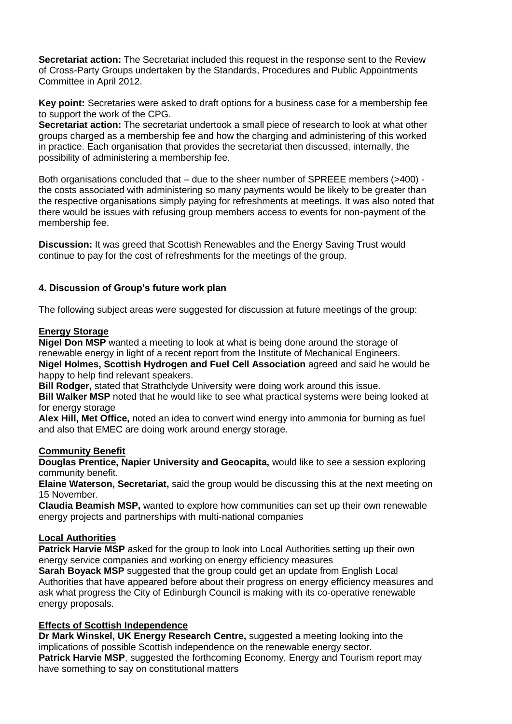**Secretariat action:** The Secretariat included this request in the response sent to the Review of Cross-Party Groups undertaken by the Standards, Procedures and Public Appointments Committee in April 2012.

**Key point:** Secretaries were asked to draft options for a business case for a membership fee to support the work of the CPG.

**Secretariat action:** The secretariat undertook a small piece of research to look at what other groups charged as a membership fee and how the charging and administering of this worked in practice. Each organisation that provides the secretariat then discussed, internally, the possibility of administering a membership fee.

Both organisations concluded that – due to the sheer number of SPREEE members (>400) the costs associated with administering so many payments would be likely to be greater than the respective organisations simply paying for refreshments at meetings. It was also noted that there would be issues with refusing group members access to events for non-payment of the membership fee.

**Discussion:** It was greed that Scottish Renewables and the Energy Saving Trust would continue to pay for the cost of refreshments for the meetings of the group.

# **4. Discussion of Group's future work plan**

The following subject areas were suggested for discussion at future meetings of the group:

# **Energy Storage**

**Nigel Don MSP** wanted a meeting to look at what is being done around the storage of renewable energy in light of a recent report from the Institute of Mechanical Engineers. **Nigel Holmes, Scottish Hydrogen and Fuel Cell Association** agreed and said he would be happy to help find relevant speakers.

**Bill Rodger,** stated that Strathclyde University were doing work around this issue.

**Bill Walker MSP** noted that he would like to see what practical systems were being looked at for energy storage

**Alex Hill, Met Office,** noted an idea to convert wind energy into ammonia for burning as fuel and also that EMEC are doing work around energy storage.

# **Community Benefit**

**Douglas Prentice, Napier University and Geocapita,** would like to see a session exploring community benefit.

**Elaine Waterson, Secretariat,** said the group would be discussing this at the next meeting on 15 November.

**Claudia Beamish MSP,** wanted to explore how communities can set up their own renewable energy projects and partnerships with multi-national companies

# **Local Authorities**

**Patrick Harvie MSP** asked for the group to look into Local Authorities setting up their own energy service companies and working on energy efficiency measures

**Sarah Boyack MSP** suggested that the group could get an update from English Local Authorities that have appeared before about their progress on energy efficiency measures and ask what progress the City of Edinburgh Council is making with its co-operative renewable energy proposals.

# **Effects of Scottish Independence**

**Dr Mark Winskel, UK Energy Research Centre,** suggested a meeting looking into the implications of possible Scottish independence on the renewable energy sector. **Patrick Harvie MSP**, suggested the forthcoming Economy, Energy and Tourism report may have something to say on constitutional matters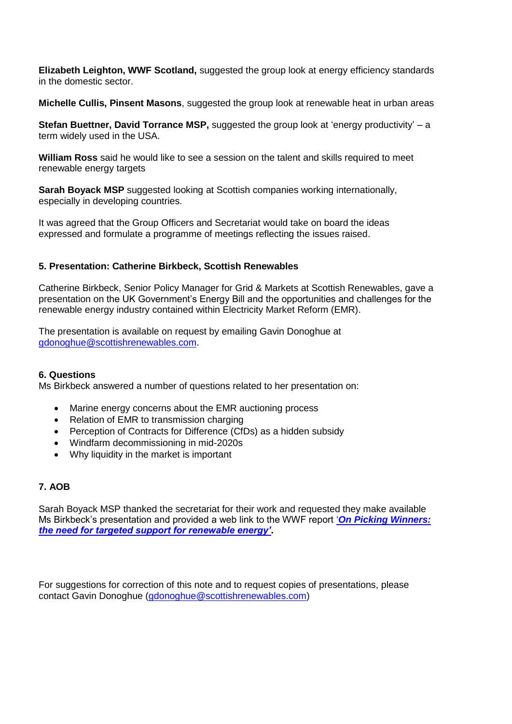**Elizabeth Leighton, WWF Scotland,** suggested the group look at energy efficiency standards in the domestic sector.

**Michelle Cullis, Pinsent Masons**, suggested the group look at renewable heat in urban areas

**Stefan Buettner, David Torrance MSP,** suggested the group look at 'energy productivity' – a term widely used in the USA.

**William Ross** said he would like to see a session on the talent and skills required to meet renewable energy targets

**Sarah Boyack MSP** suggested looking at Scottish companies working internationally, especially in developing countries.

It was agreed that the Group Officers and Secretariat would take on board the ideas expressed and formulate a programme of meetings reflecting the issues raised.

# **5. Presentation: Catherine Birkbeck, Scottish Renewables**

Catherine Birkbeck, Senior Policy Manager for Grid & Markets at Scottish Renewables, gave a presentation on the UK Government's Energy Bill and the opportunities and challenges for the renewable energy industry contained within Electricity Market Reform (EMR).

The presentation is available on request by emailing Gavin Donoghue at [gdonoghue@scottishrenewables.com.](mailto:gdonoghue@scottishrenewables.com)

# **6. Questions**

Ms Birkbeck answered a number of questions related to her presentation on:

- Marine energy concerns about the EMR auctioning process
- Relation of EMR to transmission charging
- Perception of Contracts for Difference (CfDs) as a hidden subsidy
- Windfarm decommissioning in mid-2020s
- Why liquidity in the market is important

# **7. AOB**

Sarah Boyack MSP thanked the secretariat for their work and requested they make available Ms Birkbeck's presentation and provided a web link to the WWF report '*[On Picking Winners:](http://www.wwf.org.uk/wwf_articles.cfm?unewsid=6263)  [the need for targeted support for renewable energy'](http://www.wwf.org.uk/wwf_articles.cfm?unewsid=6263)***.**

For suggestions for correction of this note and to request copies of presentations, please contact Gavin Donoghue [\(gdonoghue@scottishrenewables.com\)](mailto:gdonoghue@scottishrenewables.com)